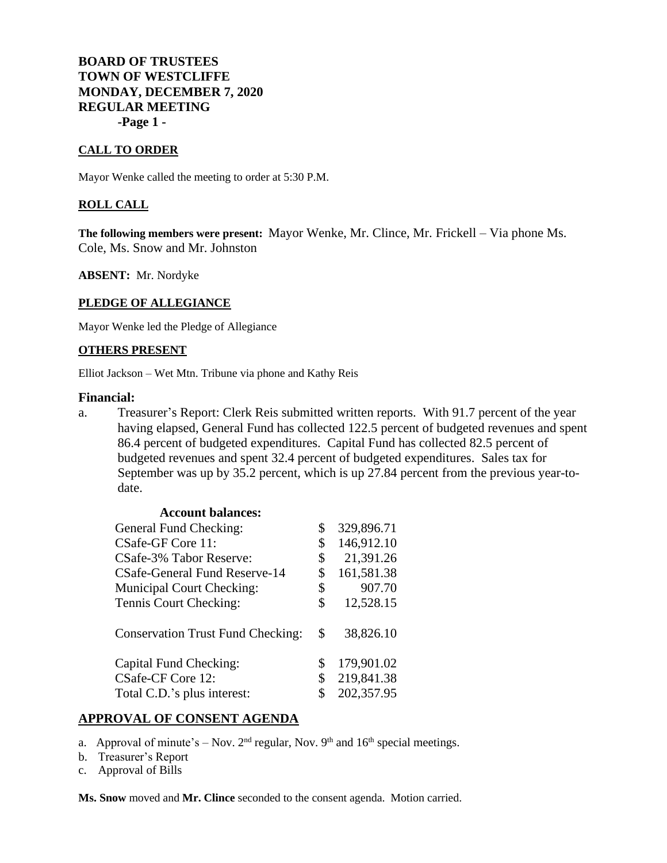# **BOARD OF TRUSTEES TOWN OF WESTCLIFFE MONDAY, DECEMBER 7, 2020 REGULAR MEETING -Page 1 -**

## **CALL TO ORDER**

Mayor Wenke called the meeting to order at 5:30 P.M.

## **ROLL CALL**

**The following members were present:** Mayor Wenke, Mr. Clince, Mr. Frickell – Via phone Ms. Cole, Ms. Snow and Mr. Johnston

**ABSENT:** Mr. Nordyke

#### **PLEDGE OF ALLEGIANCE**

Mayor Wenke led the Pledge of Allegiance

#### **OTHERS PRESENT**

Elliot Jackson – Wet Mtn. Tribune via phone and Kathy Reis

### **Financial:**

a. Treasurer's Report: Clerk Reis submitted written reports. With 91.7 percent of the year having elapsed, General Fund has collected 122.5 percent of budgeted revenues and spent 86.4 percent of budgeted expenditures. Capital Fund has collected 82.5 percent of budgeted revenues and spent 32.4 percent of budgeted expenditures. Sales tax for September was up by 35.2 percent, which is up 27.84 percent from the previous year-todate.

| <b>Account balances:</b>                 |                  |
|------------------------------------------|------------------|
| General Fund Checking:                   | \$<br>329,896.71 |
| CSafe-GF Core 11:                        | \$<br>146,912.10 |
| CSafe-3% Tabor Reserve:                  | \$<br>21,391.26  |
| CSafe-General Fund Reserve-14            | \$<br>161,581.38 |
| <b>Municipal Court Checking:</b>         | \$<br>907.70     |
| Tennis Court Checking:                   | \$<br>12,528.15  |
| <b>Conservation Trust Fund Checking:</b> | \$<br>38,826.10  |
| Capital Fund Checking:                   | \$<br>179,901.02 |
| CSafe-CF Core 12:                        | \$<br>219,841.38 |
| Total C.D.'s plus interest:              | 202,357.95       |

## **APPROVAL OF CONSENT AGENDA**

- a. Approval of minute's Nov.  $2<sup>nd</sup>$  regular, Nov.  $9<sup>th</sup>$  and  $16<sup>th</sup>$  special meetings.
- b. Treasurer's Report
- c. Approval of Bills

**Ms. Snow** moved and **Mr. Clince** seconded to the consent agenda. Motion carried.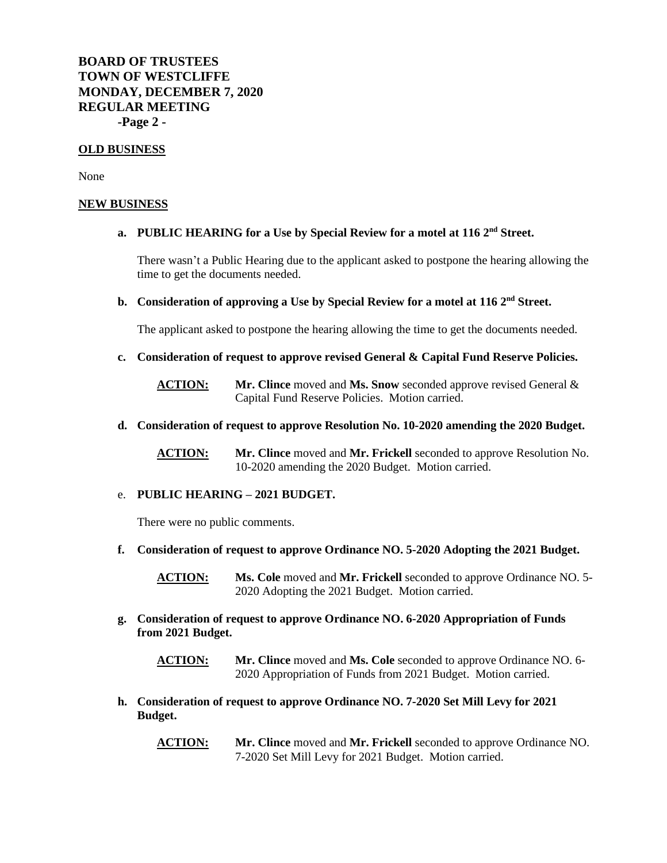**BOARD OF TRUSTEES TOWN OF WESTCLIFFE MONDAY, DECEMBER 7, 2020 REGULAR MEETING -Page 2 -**

### **OLD BUSINESS**

None

#### **NEW BUSINESS**

# **a. PUBLIC HEARING for a Use by Special Review for a motel at 116 2nd Street.**

There wasn't a Public Hearing due to the applicant asked to postpone the hearing allowing the time to get the documents needed.

### **b. Consideration of approving a Use by Special Review for a motel at 116 2nd Street.**

The applicant asked to postpone the hearing allowing the time to get the documents needed.

**c. Consideration of request to approve revised General & Capital Fund Reserve Policies.**

**ACTION: Mr. Clince** moved and **Ms. Snow** seconded approve revised General & Capital Fund Reserve Policies. Motion carried.

**d. Consideration of request to approve Resolution No. 10-2020 amending the 2020 Budget.**

**ACTION: Mr. Clince** moved and **Mr. Frickell** seconded to approve Resolution No. 10-2020 amending the 2020 Budget. Motion carried.

#### e. **PUBLIC HEARING – 2021 BUDGET.**

There were no public comments.

**f. Consideration of request to approve Ordinance NO. 5-2020 Adopting the 2021 Budget.**

**ACTION: Ms. Cole** moved and **Mr. Frickell** seconded to approve Ordinance NO. 5- 2020 Adopting the 2021 Budget. Motion carried.

**g. Consideration of request to approve Ordinance NO. 6-2020 Appropriation of Funds from 2021 Budget.**

**ACTION: Mr. Clince** moved and **Ms. Cole** seconded to approve Ordinance NO. 6- 2020 Appropriation of Funds from 2021 Budget. Motion carried.

- **h. Consideration of request to approve Ordinance NO. 7-2020 Set Mill Levy for 2021 Budget.**
	- **ACTION: Mr. Clince** moved and **Mr. Frickell** seconded to approve Ordinance NO. 7-2020 Set Mill Levy for 2021 Budget. Motion carried.